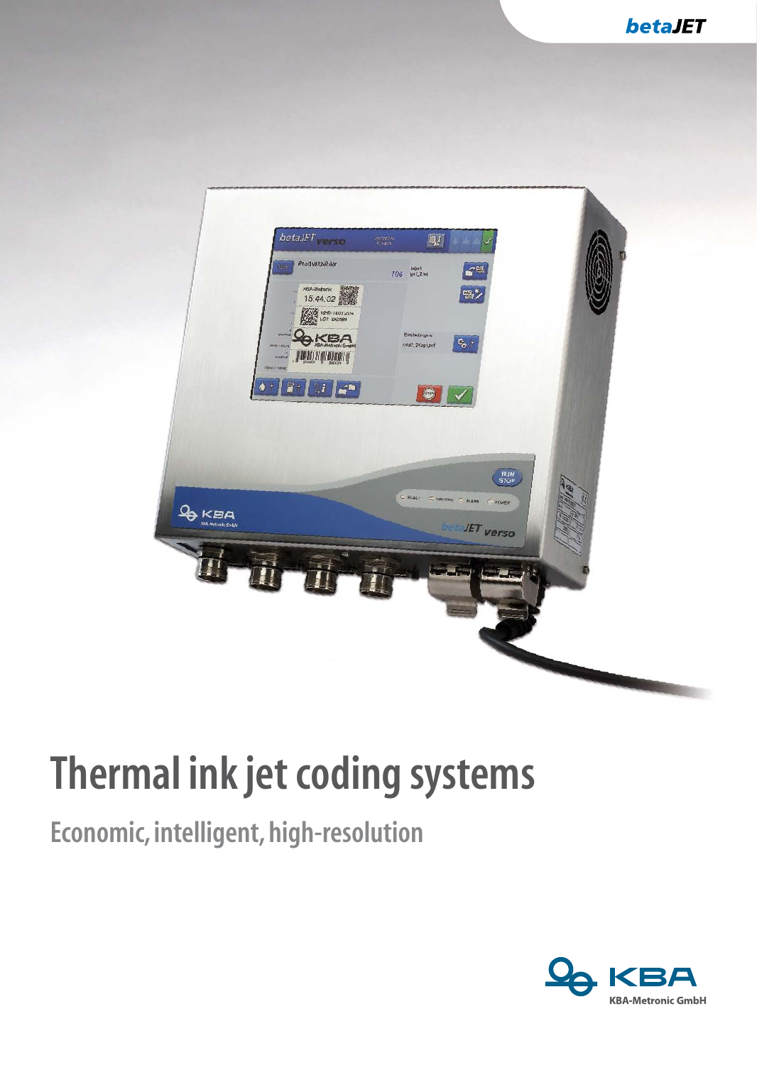

# **Thermal ink jet coding systems**

#### **Economic, intelligent, high-resolution**

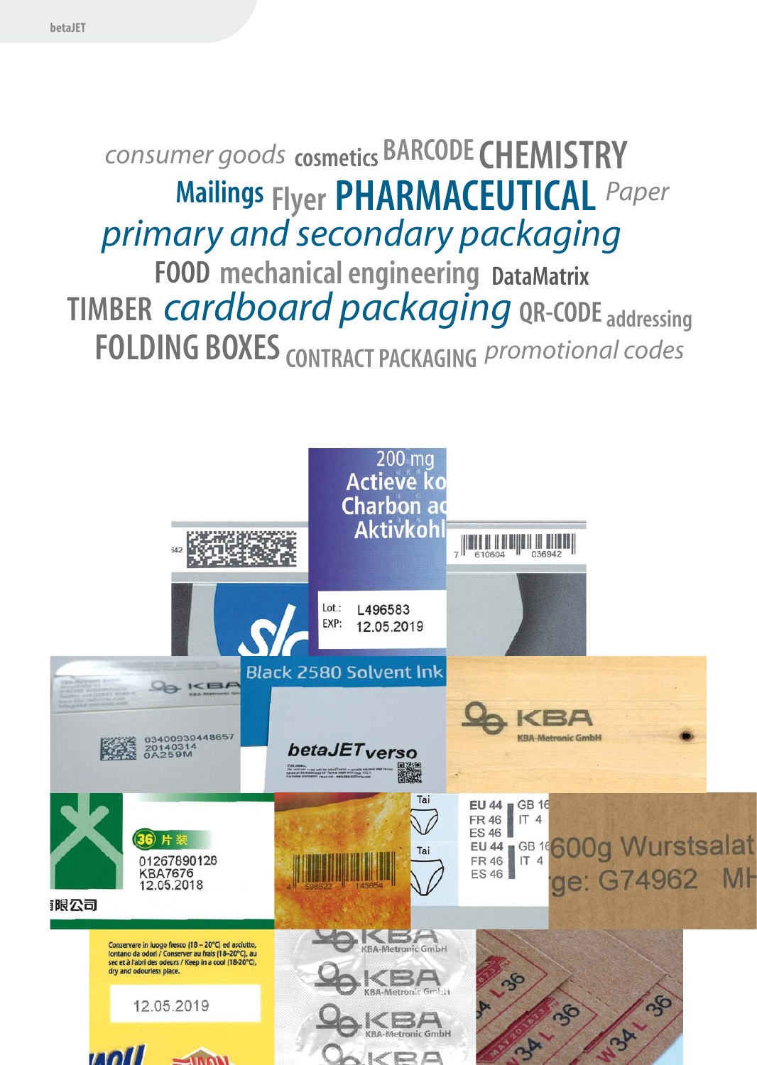## *CONSUMERT goods* **cosmetics BARCODE CHEMISTRY Mailings Flyer PHARMACEUTICAL Paper**  *primary and secondary packaging* **FOOD mechanical engineering DataMatrix TIMBER** *cardboard* **packaging QR-CODE** addressing **FOLDING BOXES CONTRACT PACKAGING** *promotional codes*

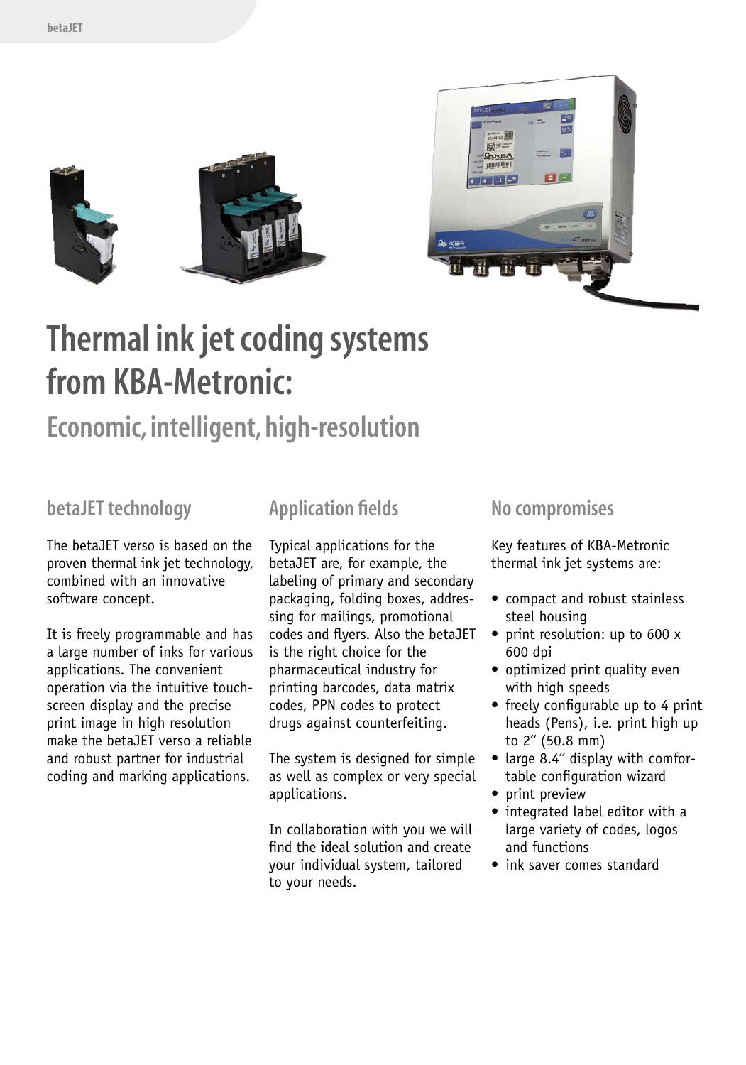



### **Thermal ink jet coding systems from KBA-Metronic:**

#### **Economic, intelligent, high-resolution**

#### **betaJET technology**

The betaJET verso is based on the proven thermal ink jet technology, combined with an innovative software concept.

It is freely programmable and has a large number of inks for various applications. The convenient operation via the intuitive touchscreen display and the precise print image in high resolution make the betaJET verso a reliable and robust partner for industrial coding and marking applications.

#### **Application fields**

Typical applications for the betaJET are, for example, the labeling of primary and secondary packaging, folding boxes, addressing for mailings, promotional codes and flyers. Also the betaJET is the right choice for the pharmaceutical industry for printing barcodes, data matrix codes, PPN codes to protect drugs against counterfeiting.

The system is designed for simple as well as complex or very special applications.

In collaboration with you we will find the ideal solution and create your individual system, tailored to your needs.

#### **No compromises**

Key features of KBA-Metronic thermal ink jet systems are:

- compact and robust stainless steel housing
- print resolution: up to 600 x 600 dpi
- optimized print quality even with high speeds
- freely configurable up to 4 print heads (Pens), i.e. print high up to 2'' (50.8 mm)
- large 8.4" display with comfor- table configuration wizard
- print preview
- integrated label editor with a large variety of codes, logos and functions
- ink saver comes standard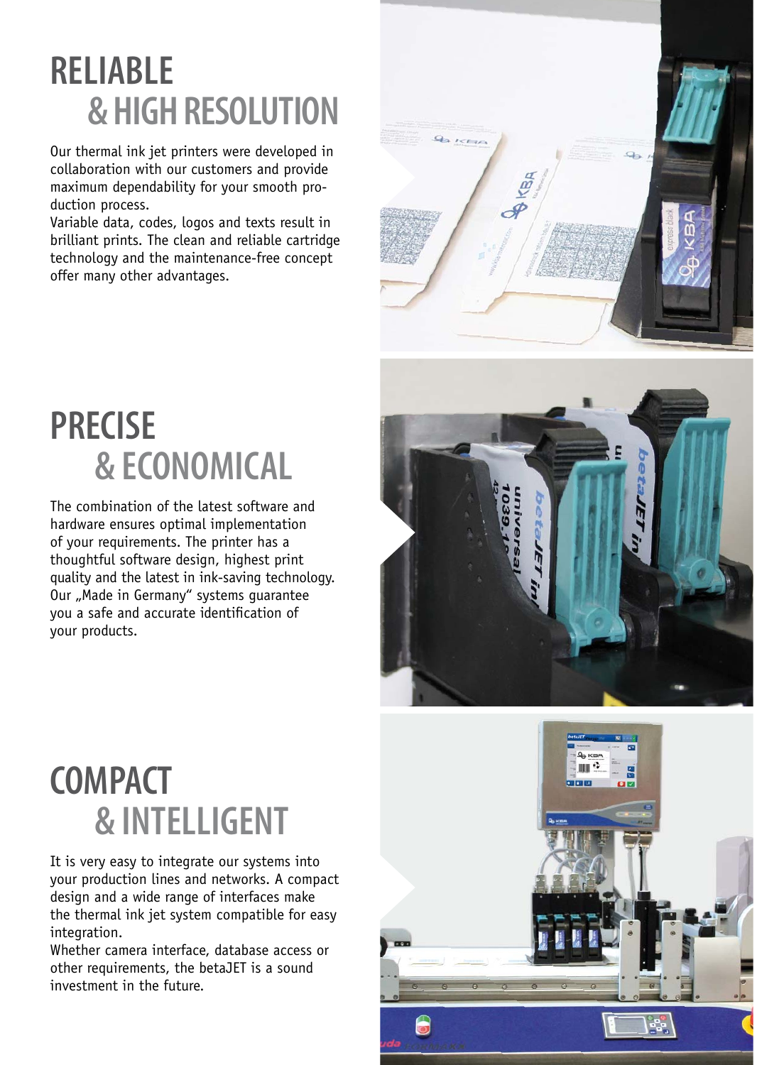### **Reliable & high resolution**

Our thermal ink jet printers were developed in collaboration with our customers and provide maximum dependability for your smooth production process.

Variable data, codes, logos and texts result in brilliant prints. The clean and reliable cartridge technology and the maintenance-free concept offer many other advantages.



## **Precise & ECONOMICAL**

The combination of the latest software and hardware ensures optimal implementation of your requirements. The printer has a thoughtful software design, highest print quality and the latest in ink-saving technology. Our "Made in Germany" systems quarantee you a safe and accurate identification of your products.



### **COMPACT & Intelligent**

It is very easy to integrate our systems into your production lines and networks. A compact design and a wide range of interfaces make the thermal ink jet system compatible for easy integration.

Whether camera interface, database access or other requirements, the betaJET is a sound investment in the future.

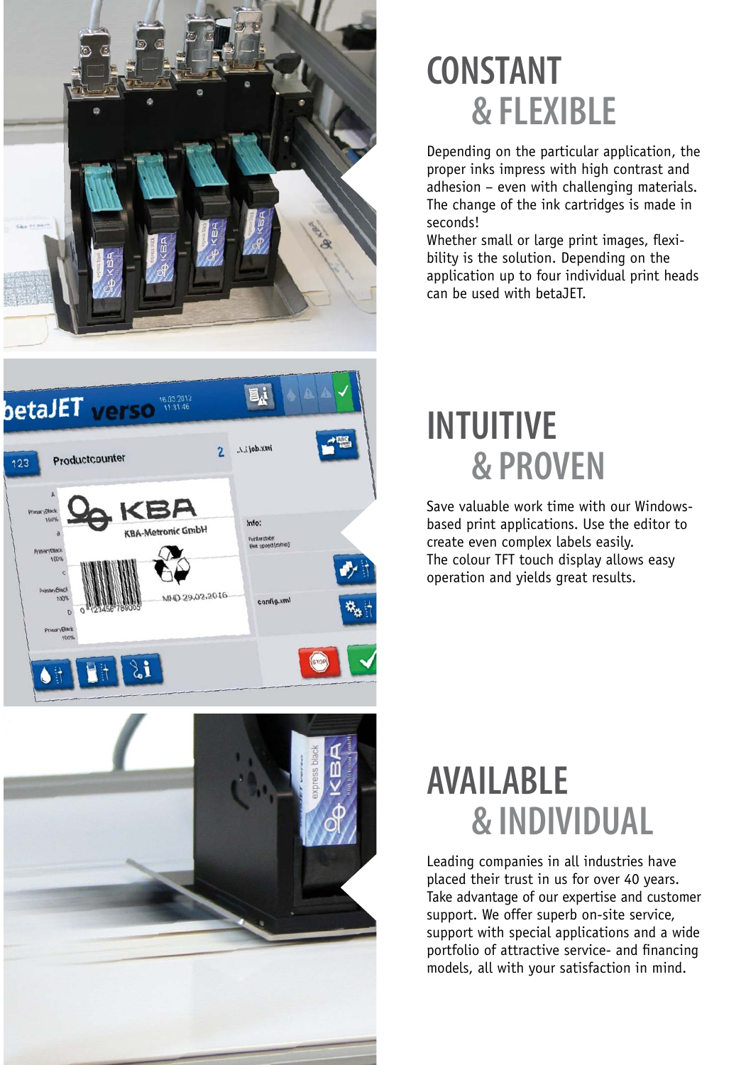



### **constant & FLEXIBLE**

Depending on the particular application, the proper inks impress with high contrast and adhesion – even with challenging materials. The change of the ink cartridges is made in seconds!

Whether small or large print images, flexibility is the solution. Depending on the application up to four individual print heads can be used with betaJET.

#### **INTUITIVE & PROVEN**

Save valuable work time with our Windowsbased print applications. Use the editor to create even complex labels easily. The colour TFT touch display allows easy operation and yields great results.

#### **AVAILABLE & INDIVIDUAL**

Leading companies in all industries have placed their trust in us for over 40 years. Take advantage of our expertise and customer support. We offer superb on-site service, support with special applications and a wide portfolio of attractive service- and financing models, all with your satisfaction in mind.